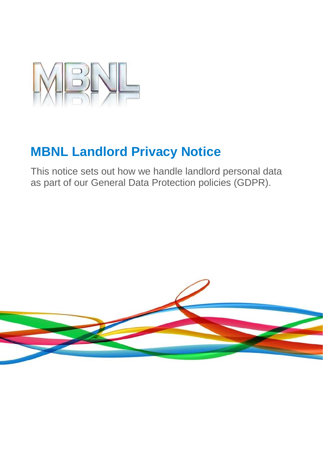

# **MBNL Landlord Privacy Notice**

This notice sets out how we handle landlord personal data as part of our General Data Protection policies (GDPR).

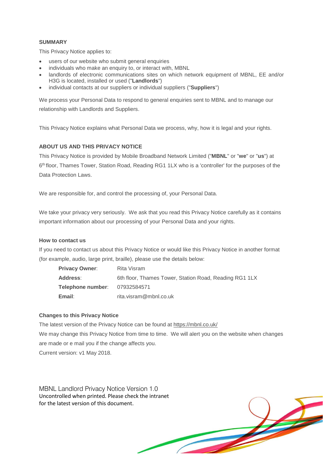#### **SUMMARY**

This Privacy Notice applies to:

- users of our website who submit general enquiries
- individuals who make an enquiry to, or interact with, MBNL
- landlords of electronic communications sites on which network equipment of MBNL, EE and/or H3G is located, installed or used ("**Landlords**")
- individual contacts at our suppliers or individual suppliers ("**Suppliers**")

We process your Personal Data to respond to general enquiries sent to MBNL and to manage our relationship with Landlords and Suppliers.

This Privacy Notice explains what Personal Data we process, why, how it is legal and your rights.

#### **ABOUT US AND THIS PRIVACY NOTICE**

This Privacy Notice is provided by Mobile Broadband Network Limited ("**MBNL**" or "**we**" or "**us**") at 6<sup>th</sup> floor, Thames Tower, Station Road, Reading RG1 1LX who is a 'controller' for the purposes of the Data Protection Laws.

We are responsible for, and control the processing of, your Personal Data.

We take your privacy very seriously. We ask that you read this Privacy Notice carefully as it contains important information about our processing of your Personal Data and your rights.

#### **How to contact us**

If you need to contact us about this Privacy Notice or would like this Privacy Notice in another format (for example, audio, large print, braille), please use the details below:

| <b>Privacy Owner:</b>                | Rita Visram                                            |
|--------------------------------------|--------------------------------------------------------|
| Address:                             | 6th floor, Thames Tower, Station Road, Reading RG1 1LX |
| <b>Telephone number: 07932584571</b> |                                                        |
| Email:                               | rita.visram@mbnl.co.uk                                 |

#### **Changes to this Privacy Notice**

The latest version of the Privacy Notice can be found at<https://mbnl.co.uk/> We may change this Privacy Notice from time to time. We will alert you on the website when changes are made or e mail you if the change affects you. Current version: v1 May 2018.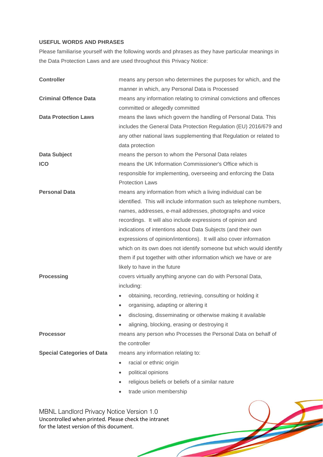## **USEFUL WORDS AND PHRASES**

Please familiarise yourself with the following words and phrases as they have particular meanings in the Data Protection Laws and are used throughout this Privacy Notice:

| <b>Controller</b>                                                                                                                                   | means any person who determines the purposes for which, and the         |  |  |
|-----------------------------------------------------------------------------------------------------------------------------------------------------|-------------------------------------------------------------------------|--|--|
|                                                                                                                                                     | manner in which, any Personal Data is Processed                         |  |  |
| <b>Criminal Offence Data</b>                                                                                                                        | means any information relating to criminal convictions and offences     |  |  |
|                                                                                                                                                     | committed or allegedly committed                                        |  |  |
| <b>Data Protection Laws</b>                                                                                                                         | means the laws which govern the handling of Personal Data. This         |  |  |
|                                                                                                                                                     | includes the General Data Protection Regulation (EU) 2016/679 and       |  |  |
|                                                                                                                                                     | any other national laws supplementing that Regulation or related to     |  |  |
|                                                                                                                                                     | data protection                                                         |  |  |
| <b>Data Subject</b>                                                                                                                                 | means the person to whom the Personal Data relates                      |  |  |
| <b>ICO</b>                                                                                                                                          | means the UK Information Commissioner's Office which is                 |  |  |
|                                                                                                                                                     | responsible for implementing, overseeing and enforcing the Data         |  |  |
|                                                                                                                                                     | <b>Protection Laws</b>                                                  |  |  |
| <b>Personal Data</b>                                                                                                                                | means any information from which a living individual can be             |  |  |
|                                                                                                                                                     | identified. This will include information such as telephone numbers,    |  |  |
|                                                                                                                                                     | names, addresses, e-mail addresses, photographs and voice               |  |  |
|                                                                                                                                                     | recordings. It will also include expressions of opinion and             |  |  |
|                                                                                                                                                     | indications of intentions about Data Subjects (and their own            |  |  |
|                                                                                                                                                     | expressions of opinion/intentions). It will also cover information      |  |  |
|                                                                                                                                                     | which on its own does not identify someone but which would identify     |  |  |
|                                                                                                                                                     | them if put together with other information which we have or are        |  |  |
|                                                                                                                                                     | likely to have in the future                                            |  |  |
| <b>Processing</b>                                                                                                                                   | covers virtually anything anyone can do with Personal Data,             |  |  |
|                                                                                                                                                     | including:                                                              |  |  |
|                                                                                                                                                     | obtaining, recording, retrieving, consulting or holding it<br>$\bullet$ |  |  |
|                                                                                                                                                     | organising, adapting or altering it                                     |  |  |
|                                                                                                                                                     | disclosing, disseminating or otherwise making it available              |  |  |
|                                                                                                                                                     | aligning, blocking, erasing or destroying it                            |  |  |
| <b>Processor</b>                                                                                                                                    | means any person who Processes the Personal Data on behalf of           |  |  |
|                                                                                                                                                     | the controller                                                          |  |  |
| <b>Special Categories of Data</b>                                                                                                                   | means any information relating to:                                      |  |  |
|                                                                                                                                                     | racial or ethnic origin                                                 |  |  |
|                                                                                                                                                     | political opinions                                                      |  |  |
|                                                                                                                                                     | religious beliefs or beliefs of a similar nature                        |  |  |
|                                                                                                                                                     | trade union membership                                                  |  |  |
|                                                                                                                                                     |                                                                         |  |  |
| <b>MBNL Landlord Privacy Notice Version 1.0</b><br>Uncontrolled when printed. Please check the intranet<br>for the latest version of this document. |                                                                         |  |  |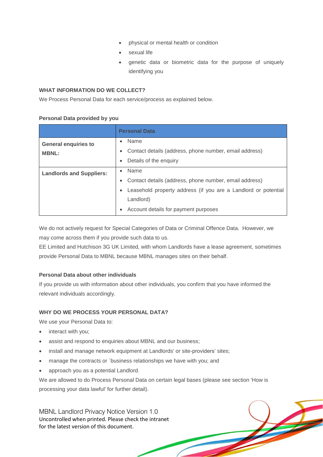- physical or mental health or condition
- sexual life
- genetic data or biometric data for the purpose of uniquely identifying you

#### **WHAT INFORMATION DO WE COLLECT?**

We Process Personal Data for each service/process as explained below.

#### **Personal Data provided by you**

|                                             | <b>Personal Data</b>                                                                                                                                                                               |  |  |
|---------------------------------------------|----------------------------------------------------------------------------------------------------------------------------------------------------------------------------------------------------|--|--|
| <b>General enquiries to</b><br><b>MBNL:</b> | Name<br>$\bullet$<br>Contact details (address, phone number, email address)<br>Details of the enquiry                                                                                              |  |  |
| <b>Landlords and Suppliers:</b>             | Name<br>$\bullet$<br>Contact details (address, phone number, email address)<br>Leasehold property address (if you are a Landlord or potential<br>Landlord)<br>Account details for payment purposes |  |  |

We do not actively request for Special Categories of Data or Criminal Offence Data. However, we may come across them if you provide such data to us.

EE Limited and Hutchison 3G UK Limited, with whom Landlords have a lease agreement, sometimes provide Personal Data to MBNL because MBNL manages sites on their behalf.

### **Personal Data about other individuals**

If you provide us with information about other individuals, you confirm that you have informed the relevant individuals accordingly.

### **WHY DO WE PROCESS YOUR PERSONAL DATA?**

We use your Personal Data to:

- interact with you;
- assist and respond to enquiries about MBNL and our business;
- install and manage network equipment at Landlords' or site-providers' sites;
- manage the contracts or `business relationships we have with you; and
- approach you as a potential Landlord.

We are allowed to do Process Personal Data on certain legal bases (please see section 'How is processing your data lawful' for further detail).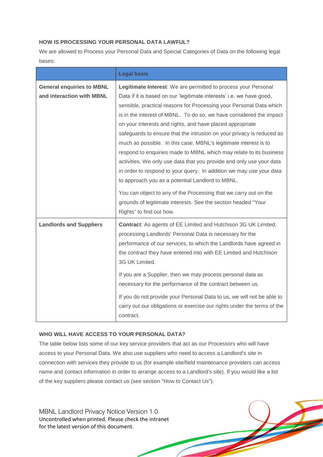## **HOW IS PROCESSING YOUR PERSONAL DATA LAWFUL?**

We are allowed to Process your Personal Data and Special Categories of Data on the following legal bases:

|                                  | <b>Legal basis</b>                                                      |  |  |  |
|----------------------------------|-------------------------------------------------------------------------|--|--|--|
| <b>General enquiries to MBNL</b> | Legitimate Interest: We are permitted to process your Personal          |  |  |  |
| and interaction with MBNL        | Data if it is based on our 'legitimate interests' i.e. we have good,    |  |  |  |
|                                  | sensible, practical reasons for Processing your Personal Data which     |  |  |  |
|                                  | is in the interest of MBNL. To do so, we have considered the impact     |  |  |  |
|                                  | on your interests and rights, and have placed appropriate               |  |  |  |
|                                  | safeguards to ensure that the intrusion on your privacy is reduced as   |  |  |  |
|                                  | much as possible. In this case, MBNL's legitimate interest is to        |  |  |  |
|                                  | respond to enquiries made to MBNL which may relate to its business      |  |  |  |
|                                  | activities. We only use data that you provide and only use your data    |  |  |  |
|                                  | in order to respond to your query. In addition we may use your data     |  |  |  |
|                                  | to approach you as a potential Landlord to MBNL.                        |  |  |  |
|                                  | You can object to any of the Processing that we carry out on the        |  |  |  |
|                                  | grounds of legitimate interests. See the section headed "Your           |  |  |  |
|                                  | Rights" to find out how.                                                |  |  |  |
| <b>Landlords and Suppliers</b>   | <b>Contract:</b> As agents of EE Limited and Hutchison 3G UK Limited,   |  |  |  |
|                                  | processing Landlords' Personal Data is necessary for the                |  |  |  |
|                                  | performance of our services, to which the Landlords have agreed in      |  |  |  |
|                                  | the contract they have entered into with EE Limited and Hutchison       |  |  |  |
|                                  | 3G UK Limited.                                                          |  |  |  |
|                                  | If you are a Supplier, then we may process personal data as             |  |  |  |
|                                  | necessary for the performance of the contract between us.               |  |  |  |
|                                  | If you do not provide your Personal Data to us, we will not be able to  |  |  |  |
|                                  |                                                                         |  |  |  |
|                                  | contract.                                                               |  |  |  |
|                                  | carry out our obligations or exercise our rights under the terms of the |  |  |  |

### **WHO WILL HAVE ACCESS TO YOUR PERSONAL DATA?**

The table below lists some of our key service providers that act as our Processors who will have access to your Personal Data. We also use suppliers who need to access a Landlord's site in connection with services they provide to us (for example site/field maintenance providers can access name and contact information in order to arrange access to a Landlord's site). If you would like a list of the key suppliers please contact us (see section "How to Contact Us").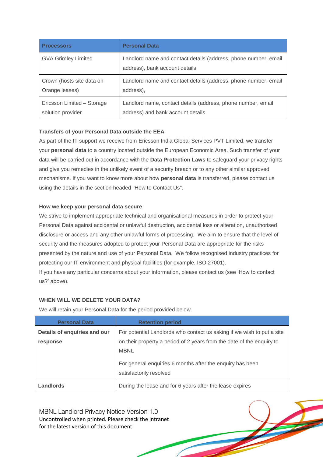| <b>Processors</b>          | <b>Personal Data</b>                                                                              |
|----------------------------|---------------------------------------------------------------------------------------------------|
| <b>GVA Grimley Limited</b> | Landlord name and contact details (address, phone number, email<br>address), bank account details |
| Crown (hosts site data on  | Landlord name and contact details (address, phone number, email                                   |
| Orange leases)             | address),                                                                                         |
| Ericsson Limited - Storage | Landlord name, contact details (address, phone number, email                                      |
| solution provider          | address) and bank account details                                                                 |

### **Transfers of your Personal Data outside the EEA**

As part of the IT support we receive from Ericsson India Global Services PVT Limited, we transfer your **personal data** to a country located outside the European Economic Area. Such transfer of your data will be carried out in accordance with the **Data Protection Laws** to safeguard your privacy rights and give you remedies in the unlikely event of a security breach or to any other similar approved mechanisms. If you want to know more about how **personal data** is transferred, please contact us using the details in the section headed "How to Contact Us".

### **How we keep your personal data secure**

We strive to implement appropriate technical and organisational measures in order to protect your Personal Data against accidental or unlawful destruction, accidental loss or alteration, unauthorised disclosure or access and any other unlawful forms of processing. We aim to ensure that the level of security and the measures adopted to protect your Personal Data are appropriate for the risks presented by the nature and use of your Personal Data. We follow recognised industry practices for protecting our IT environment and physical facilities (for example, ISO 27001).

If you have any particular concerns about your information, please contact us (see 'How to contact us?' above).

## **WHEN WILL WE DELETE YOUR DATA?**

We will retain your Personal Data for the period provided below.

| <b>Personal Data</b>                                                                 | <b>Retention period</b>                                                                                                                                        |  |
|--------------------------------------------------------------------------------------|----------------------------------------------------------------------------------------------------------------------------------------------------------------|--|
| Details of enquiries and our<br>response                                             | For potential Landlords who contact us asking if we wish to put a site<br>on their property a period of 2 years from the date of the enquiry to<br><b>MBNL</b> |  |
| For general enquiries 6 months after the enquiry has been<br>satisfactorily resolved |                                                                                                                                                                |  |
| Landlords                                                                            | During the lease and for 6 years after the lease expires                                                                                                       |  |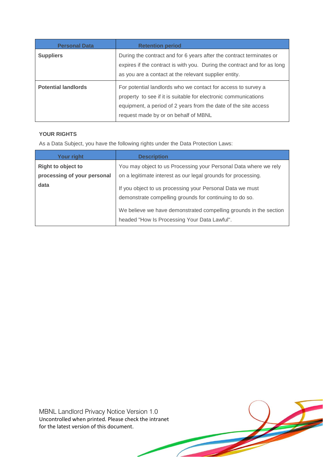| <b>Personal Data</b>       | <b>Retention period</b>                                                                                                                                                                                                                     |
|----------------------------|---------------------------------------------------------------------------------------------------------------------------------------------------------------------------------------------------------------------------------------------|
| <b>Suppliers</b>           | During the contract and for 6 years after the contract terminates or<br>expires if the contract is with you. During the contract and for as long<br>as you are a contact at the relevant supplier entity.                                   |
| <b>Potential landlords</b> | For potential landlords who we contact for access to survey a<br>property to see if it is suitable for electronic communications<br>equipment, a period of 2 years from the date of the site access<br>request made by or on behalf of MBNL |

## **YOUR RIGHTS**

As a Data Subject, you have the following rights under the Data Protection Laws:

| Your right                                               | <b>Description</b>                                                                                                                                                                        |  |
|----------------------------------------------------------|-------------------------------------------------------------------------------------------------------------------------------------------------------------------------------------------|--|
| <b>Right to object to</b><br>processing of your personal | You may object to us Processing your Personal Data where we rely<br>on a legitimate interest as our legal grounds for processing.                                                         |  |
| data                                                     | If you object to us processing your Personal Data we must<br>demonstrate compelling grounds for continuing to do so.<br>We believe we have demonstrated compelling grounds in the section |  |
|                                                          | headed "How Is Processing Your Data Lawful".                                                                                                                                              |  |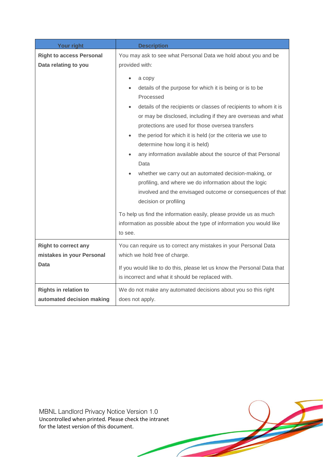| <b>Your right</b>                                                | <b>Description</b>                                                                                                                                                                                                                                                                                                                                                                                                                                                                                                                                                                                                                                                                                                                                                                                                                                                                                   |  |  |
|------------------------------------------------------------------|------------------------------------------------------------------------------------------------------------------------------------------------------------------------------------------------------------------------------------------------------------------------------------------------------------------------------------------------------------------------------------------------------------------------------------------------------------------------------------------------------------------------------------------------------------------------------------------------------------------------------------------------------------------------------------------------------------------------------------------------------------------------------------------------------------------------------------------------------------------------------------------------------|--|--|
| <b>Right to access Personal</b><br>Data relating to you          | You may ask to see what Personal Data we hold about you and be<br>provided with:<br>a copy<br>details of the purpose for which it is being or is to be<br>Processed<br>details of the recipients or classes of recipients to whom it is<br>or may be disclosed, including if they are overseas and what<br>protections are used for those oversea transfers<br>the period for which it is held (or the criteria we use to<br>determine how long it is held)<br>any information available about the source of that Personal<br>Data<br>whether we carry out an automated decision-making, or<br>profiling, and where we do information about the logic<br>involved and the envisaged outcome or consequences of that<br>decision or profiling<br>To help us find the information easily, please provide us as much<br>information as possible about the type of information you would like<br>to see. |  |  |
| <b>Right to correct any</b><br>mistakes in your Personal<br>Data | You can require us to correct any mistakes in your Personal Data<br>which we hold free of charge.<br>If you would like to do this, please let us know the Personal Data that<br>is incorrect and what it should be replaced with.                                                                                                                                                                                                                                                                                                                                                                                                                                                                                                                                                                                                                                                                    |  |  |
| <b>Rights in relation to</b><br>automated decision making        | We do not make any automated decisions about you so this right<br>does not apply.                                                                                                                                                                                                                                                                                                                                                                                                                                                                                                                                                                                                                                                                                                                                                                                                                    |  |  |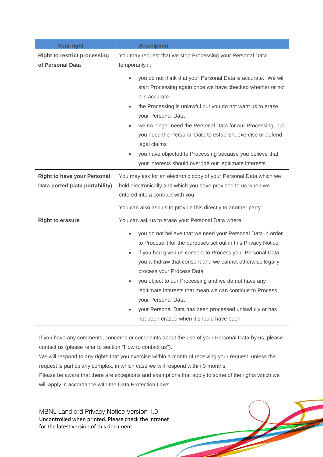| <b>Your right</b>                                                    | <b>Description</b>                                                                                                                                                                                                                                                                                                                                                                                                                                                                                                                    |  |  |
|----------------------------------------------------------------------|---------------------------------------------------------------------------------------------------------------------------------------------------------------------------------------------------------------------------------------------------------------------------------------------------------------------------------------------------------------------------------------------------------------------------------------------------------------------------------------------------------------------------------------|--|--|
| <b>Right to restrict processing</b><br>of Personal Data              | You may request that we stop Processing your Personal Data<br>temporarily if:                                                                                                                                                                                                                                                                                                                                                                                                                                                         |  |  |
|                                                                      | you do not think that your Personal Data is accurate. We will<br>start Processing again once we have checked whether or not<br>it is accurate<br>the Processing is unlawful but you do not want us to erase<br>$\bullet$<br>your Personal Data<br>we no longer need the Personal Data for our Processing, but<br>you need the Personal Data to establish, exercise or defend<br>legal claims<br>you have objected to Processing because you believe that<br>your interests should override our legitimate interests                   |  |  |
| <b>Right to have your Personal</b><br>Data ported (data portability) | You may ask for an electronic copy of your Personal Data which we<br>hold electronically and which you have provided to us when we<br>entered into a contract with you.                                                                                                                                                                                                                                                                                                                                                               |  |  |
|                                                                      | You can also ask us to provide this directly to another party.                                                                                                                                                                                                                                                                                                                                                                                                                                                                        |  |  |
| <b>Right to erasure</b>                                              | You can ask us to erase your Personal Data where:                                                                                                                                                                                                                                                                                                                                                                                                                                                                                     |  |  |
|                                                                      | you do not believe that we need your Personal Data in order<br>to Process it for the purposes set out in this Privacy Notice<br>if you had given us consent to Process your Personal Data,<br>you withdraw that consent and we cannot otherwise legally<br>process your Process Data<br>you object to our Processing and we do not have any<br>legitimate interests that mean we can continue to Process<br>your Personal Data<br>your Personal Data has been processed unlawfully or has<br>not been erased when it should have been |  |  |

If you have any comments, concerns or complaints about the use of your Personal Data by us, please contact us (please refer to section "How to contact us").

We will respond to any rights that you exercise within a month of receiving your request, unless the request is particularly complex, in which case we will respond within 3 months.

Please be aware that there are exceptions and exemptions that apply to some of the rights which we will apply in accordance with the Data Protection Laws.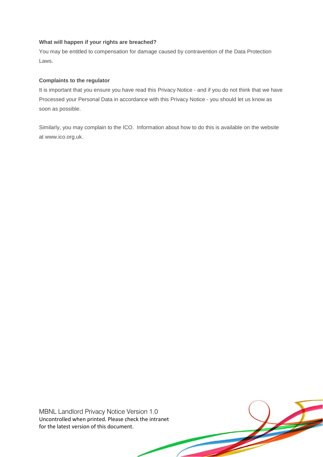## **What will happen if your rights are breached?**

You may be entitled to compensation for damage caused by contravention of the Data Protection Laws.

#### **Complaints to the regulator**

It is important that you ensure you have read this Privacy Notice - and if you do not think that we have Processed your Personal Data in accordance with this Privacy Notice - you should let us know as soon as possible.

Similarly, you may complain to the ICO. Information about how to do this is available on the website at [www.ico.org.uk.](http://www.ico.org.uk/)